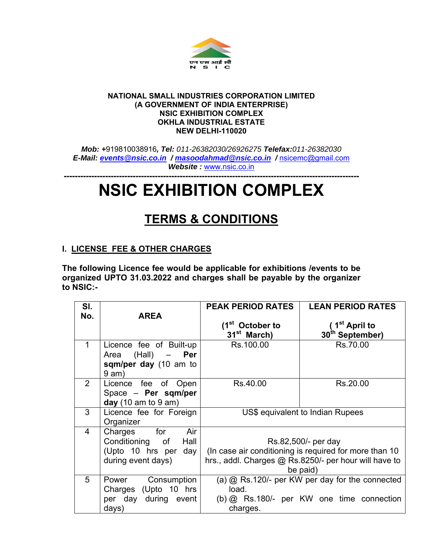

#### **NATIONAL SMALL INDUSTRIES CORPORATION LIMITED (A GOVERNMENT OF INDIA ENTERPRISE) NSIC EXHIBITION COMPLEX OKHLA INDUSTRIAL ESTATE NEW DELHI-110020**

*Mob: +*919810038916*, Tel: 011-26382030/26926275 Telefax:011-26382030 E-Mail: events@nsic.co.in / masoodahmad@nsic.co.in /* nsicemc@gmail.com *Website :* www.nsic.co.in

**-----------------------------------------------------------------------------------------------------------** 

# **NSIC EXHIBITION COMPLEX**

# **TERMS & CONDITIONS**

#### **I. LICENSE FEE & OTHER CHARGES**

**The following Licence fee would be applicable for exhibitions /events to be organized UPTO 31.03.2022 and charges shall be payable by the organizer to NSIC:-** 

| SI.            |                                        | <b>PEAK PERIOD RATES</b>         | <b>LEAN PERIOD RATES</b>                                |
|----------------|----------------------------------------|----------------------------------|---------------------------------------------------------|
| No.            | <b>AREA</b>                            |                                  |                                                         |
|                |                                        | (1 <sup>st</sup><br>October to   | <sup>st</sup> April to                                  |
|                |                                        | 31 <sup>st</sup> March)          | 30th September)                                         |
| $\mathbf 1$    | Licence fee of Built-up                | Rs.100.00                        | Rs.70.00                                                |
|                | Area (Hall)<br>Per                     |                                  |                                                         |
|                | sqm/per day (10 am to                  |                                  |                                                         |
|                | 9 am)                                  |                                  |                                                         |
| $\overline{2}$ | Licence fee of Open                    | Rs.40.00                         | Rs.20.00                                                |
|                | Space - Per sqm/per                    |                                  |                                                         |
|                | day $(10 \text{ am to } 9 \text{ am})$ |                                  |                                                         |
| 3              | Licence fee for Foreign                | US\$ equivalent to Indian Rupees |                                                         |
|                | Organizer                              |                                  |                                                         |
| $\overline{4}$ | Air<br>Charges<br>for                  |                                  |                                                         |
|                | Conditioning of<br>Hall                | Rs.82,500/- per day              |                                                         |
|                | (Upto 10 hrs per<br>day                |                                  | (In case air conditioning is required for more than 10) |
|                | during event days)                     |                                  | hrs., addl. Charges @ Rs.8250/- per hour will have to   |
|                |                                        |                                  | be paid)                                                |
| 5              | Consumption<br>Power                   |                                  | (a) $@$ Rs.120/- per KW per day for the connected       |
|                | Charges (Upto 10 hrs                   | load.                            |                                                         |
|                | per day during event                   |                                  | (b) $@$ Rs.180/- per KW one time connection             |
|                | days)                                  | charges.                         |                                                         |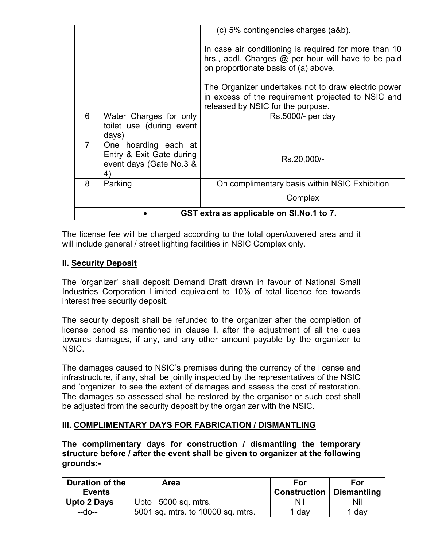|                                            |                                                                                                  | (c) 5% contingencies charges (a&b).                                                                                                                  |
|--------------------------------------------|--------------------------------------------------------------------------------------------------|------------------------------------------------------------------------------------------------------------------------------------------------------|
|                                            |                                                                                                  | In case air conditioning is required for more than 10<br>hrs., addl. Charges @ per hour will have to be paid<br>on proportionate basis of (a) above. |
|                                            |                                                                                                  | The Organizer undertakes not to draw electric power<br>in excess of the requirement projected to NSIC and<br>released by NSIC for the purpose.       |
| 6                                          | Water Charges for only<br>toilet use (during event<br>days)                                      | Rs.5000/- per day                                                                                                                                    |
| $\overline{7}$                             | One hoarding each at<br>Entry & Exit Gate during<br>event days (Gate No.3 &<br>$\left( 4\right)$ | Rs.20,000/-                                                                                                                                          |
| 8                                          | Parking                                                                                          | On complimentary basis within NSIC Exhibition                                                                                                        |
|                                            |                                                                                                  | Complex                                                                                                                                              |
| GST extra as applicable on SI. No. 1 to 7. |                                                                                                  |                                                                                                                                                      |

The license fee will be charged according to the total open/covered area and it will include general / street lighting facilities in NSIC Complex only.

#### **II. Security Deposit**

The 'organizer' shall deposit Demand Draft drawn in favour of National Small Industries Corporation Limited equivalent to 10% of total licence fee towards interest free security deposit.

The security deposit shall be refunded to the organizer after the completion of license period as mentioned in clause I, after the adjustment of all the dues towards damages, if any, and any other amount payable by the organizer to NSIC.

The damages caused to NSIC's premises during the currency of the license and infrastructure, if any, shall be jointly inspected by the representatives of the NSIC and 'organizer' to see the extent of damages and assess the cost of restoration. The damages so assessed shall be restored by the organisor or such cost shall be adjusted from the security deposit by the organizer with the NSIC.

#### **III. COMPLIMENTARY DAYS FOR FABRICATION / DISMANTLING**

**The complimentary days for construction / dismantling the temporary structure before / after the event shall be given to organizer at the following grounds:-** 

| Duration of the    | Area                              | For                 | For                |
|--------------------|-----------------------------------|---------------------|--------------------|
| <b>Events</b>      |                                   | <b>Construction</b> | <b>Dismantling</b> |
| <b>Upto 2 Days</b> | Upto 5000 sq. mtrs.               | Nil                 | Nil                |
| --do--             | 5001 sq. mtrs. to 10000 sq. mtrs. | 1 day               | dav                |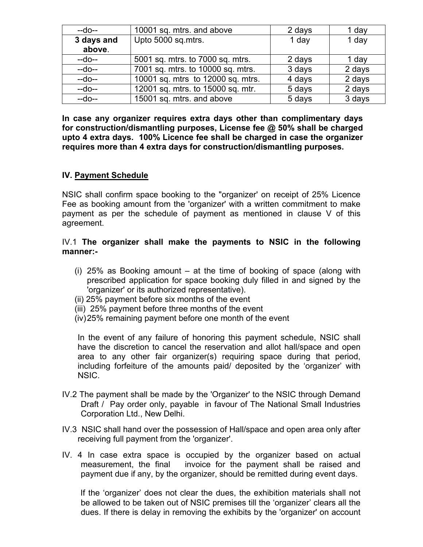| 10001 sq. mtrs. and above<br>$-do-$ |                                   | 2 days | 1 day  |
|-------------------------------------|-----------------------------------|--------|--------|
| 3 days and                          | Upto 5000 sq.mtrs.                | 1 day  | 1 day  |
| above.                              |                                   |        |        |
| $-do-$                              | 5001 sq. mtrs. to 7000 sq. mtrs.  | 2 days | 1 day  |
| $-do-$                              | 7001 sq. mtrs. to 10000 sq. mtrs. | 3 days | 2 days |
| $-do-$                              | 10001 sq. mtrs to 12000 sq. mtrs. | 4 days | 2 days |
| $-do-$                              | 12001 sq. mtrs. to 15000 sq. mtr. | 5 days | 2 days |
| $-do-$                              | 15001 sq. mtrs. and above         | 5 days | 3 days |

**In case any organizer requires extra days other than complimentary days for construction/dismantling purposes, License fee @ 50% shall be charged upto 4 extra days. 100% Licence fee shall be charged in case the organizer requires more than 4 extra days for construction/dismantling purposes.** 

#### **IV. Payment Schedule**

NSIC shall confirm space booking to the "organizer' on receipt of 25% Licence Fee as booking amount from the 'organizer' with a written commitment to make payment as per the schedule of payment as mentioned in clause V of this agreement.

#### IV.1 **The organizer shall make the payments to NSIC in the following manner:-**

- (i) 25% as Booking amount at the time of booking of space (along with prescribed application for space booking duly filled in and signed by the 'organizer' or its authorized representative).
- (ii) 25% payment before six months of the event
- (iii) 25% payment before three months of the event
- (iv) 25% remaining payment before one month of the event

In the event of any failure of honoring this payment schedule, NSIC shall have the discretion to cancel the reservation and allot hall/space and open area to any other fair organizer(s) requiring space during that period, including forfeiture of the amounts paid/ deposited by the 'organizer' with NSIC.

- IV.2 The payment shall be made by the 'Organizer' to the NSIC through Demand Draft / Pay order only, payable in favour of The National Small Industries Corporation Ltd., New Delhi.
- IV.3 NSIC shall hand over the possession of Hall/space and open area only after receiving full payment from the 'organizer'.
- IV. 4 In case extra space is occupied by the organizer based on actual measurement, the final invoice for the payment shall be raised and payment due if any, by the organizer, should be remitted during event days.

 If the 'organizer' does not clear the dues, the exhibition materials shall not be allowed to be taken out of NSIC premises till the 'organizer' clears all the dues. If there is delay in removing the exhibits by the 'organizer' on account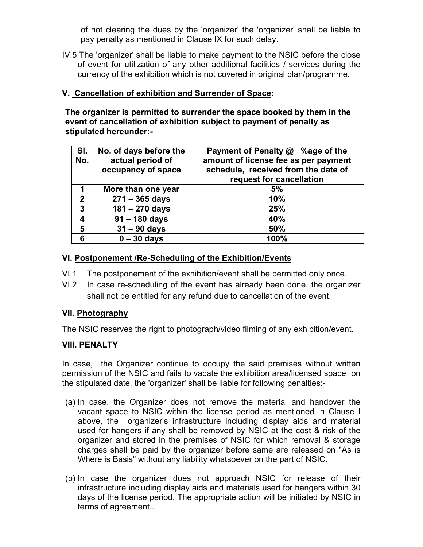of not clearing the dues by the 'organizer' the 'organizer' shall be liable to pay penalty as mentioned in Clause IX for such delay.

IV.5 The 'organizer' shall be liable to make payment to the NSIC before the close of event for utilization of any other additional facilities / services during the currency of the exhibition which is not covered in original plan/programme.

#### **V. Cancellation of exhibition and Surrender of Space:**

**The organizer is permitted to surrender the space booked by them in the event of cancellation of exhibition subject to payment of penalty as stipulated hereunder:-** 

| SI.<br>No.   | No. of days before the<br>actual period of<br>occupancy of space | Payment of Penalty @ %age of the<br>amount of license fee as per payment<br>schedule, received from the date of<br>request for cancellation |
|--------------|------------------------------------------------------------------|---------------------------------------------------------------------------------------------------------------------------------------------|
| 1            | More than one year                                               | 5%                                                                                                                                          |
| $\mathbf{2}$ | $271 - 365$ days                                                 | 10%                                                                                                                                         |
| 3            | $181 - 270$ days                                                 | 25%                                                                                                                                         |
| 4            | $91 - 180$ days                                                  | 40%                                                                                                                                         |
| 5            | $31 - 90$ days                                                   | 50%                                                                                                                                         |
| 6            | $0 - 30$ days                                                    | 100%                                                                                                                                        |

#### **VI. Postponement /Re-Scheduling of the Exhibition/Events**

- VI.1 The postponement of the exhibition/event shall be permitted only once.
- VI.2 In case re-scheduling of the event has already been done, the organizer shall not be entitled for any refund due to cancellation of the event.

# **VII. Photography**

The NSIC reserves the right to photograph/video filming of any exhibition/event.

# **VIII. PENALTY**

In case, the Organizer continue to occupy the said premises without written permission of the NSIC and fails to vacate the exhibition area/licensed space on the stipulated date, the 'organizer' shall be liable for following penalties:-

- (a) In case, the Organizer does not remove the material and handover the vacant space to NSIC within the license period as mentioned in Clause I above, the organizer's infrastructure including display aids and material used for hangers if any shall be removed by NSIC at the cost & risk of the organizer and stored in the premises of NSIC for which removal & storage charges shall be paid by the organizer before same are released on "As is Where is Basis" without any liability whatsoever on the part of NSIC.
- (b) In case the organizer does not approach NSIC for release of their infrastructure including display aids and materials used for hangers within 30 days of the license period, The appropriate action will be initiated by NSIC in terms of agreement..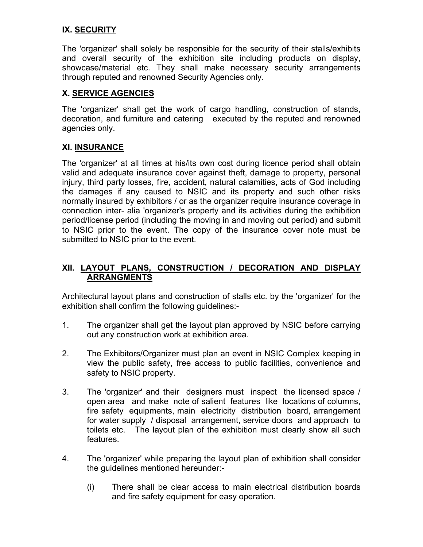# **IX. SECURITY**

The 'organizer' shall solely be responsible for the security of their stalls/exhibits and overall security of the exhibition site including products on display, showcase/material etc. They shall make necessary security arrangements through reputed and renowned Security Agencies only.

#### **X. SERVICE AGENCIES**

The 'organizer' shall get the work of cargo handling, construction of stands, decoration, and furniture and catering executed by the reputed and renowned agencies only.

#### **XI. INSURANCE**

The 'organizer' at all times at his/its own cost during licence period shall obtain valid and adequate insurance cover against theft, damage to property, personal injury, third party losses, fire, accident, natural calamities, acts of God including the damages if any caused to NSIC and its property and such other risks normally insured by exhibitors / or as the organizer require insurance coverage in connection inter- alia 'organizer's property and its activities during the exhibition period/license period (including the moving in and moving out period) and submit to NSIC prior to the event. The copy of the insurance cover note must be submitted to NSIC prior to the event.

#### **XII. LAYOUT PLANS, CONSTRUCTION / DECORATION AND DISPLAY ARRANGMENTS**

Architectural layout plans and construction of stalls etc. by the 'organizer' for the exhibition shall confirm the following guidelines:-

- 1. The organizer shall get the layout plan approved by NSIC before carrying out any construction work at exhibition area.
- 2. The Exhibitors/Organizer must plan an event in NSIC Complex keeping in view the public safety, free access to public facilities, convenience and safety to NSIC property.
- 3. The 'organizer' and their designers must inspect the licensed space / open area and make note of salient features like locations of columns, fire safety equipments, main electricity distribution board, arrangement for water supply / disposal arrangement, service doors and approach to toilets etc. The layout plan of the exhibition must clearly show all such features.
- 4. The 'organizer' while preparing the layout plan of exhibition shall consider the guidelines mentioned hereunder:-
	- (i) There shall be clear access to main electrical distribution boards and fire safety equipment for easy operation.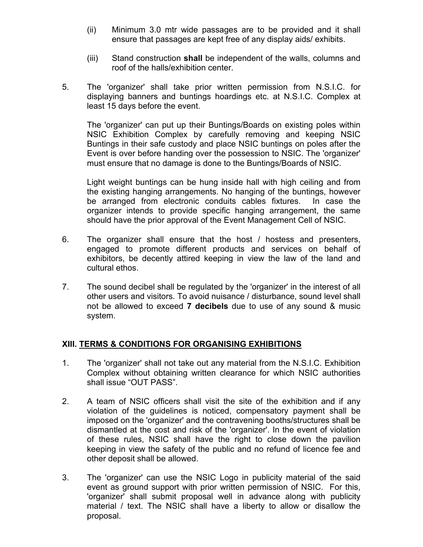- (ii) Minimum 3.0 mtr wide passages are to be provided and it shall ensure that passages are kept free of any display aids/ exhibits.
- (iii) Stand construction **shall** be independent of the walls, columns and roof of the halls/exhibition center.
- 5. The 'organizer' shall take prior written permission from N.S.I.C. for displaying banners and buntings hoardings etc. at N.S.I.C. Complex at least 15 days before the event.

The 'organizer' can put up their Buntings/Boards on existing poles within NSIC Exhibition Complex by carefully removing and keeping NSIC Buntings in their safe custody and place NSIC buntings on poles after the Event is over before handing over the possession to NSIC. The 'organizer' must ensure that no damage is done to the Buntings/Boards of NSIC.

Light weight buntings can be hung inside hall with high ceiling and from the existing hanging arrangements. No hanging of the buntings, however be arranged from electronic conduits cables fixtures. In case the organizer intends to provide specific hanging arrangement, the same should have the prior approval of the Event Management Cell of NSIC.

- 6. The organizer shall ensure that the host / hostess and presenters, engaged to promote different products and services on behalf of exhibitors, be decently attired keeping in view the law of the land and cultural ethos.
- 7. The sound decibel shall be regulated by the 'organizer' in the interest of all other users and visitors. To avoid nuisance / disturbance, sound level shall not be allowed to exceed **7 decibels** due to use of any sound & music system.

#### **XIII. TERMS & CONDITIONS FOR ORGANISING EXHIBITIONS**

- 1. The 'organizer' shall not take out any material from the N.S.I.C. Exhibition Complex without obtaining written clearance for which NSIC authorities shall issue "OUT PASS".
- 2. A team of NSIC officers shall visit the site of the exhibition and if any violation of the guidelines is noticed, compensatory payment shall be imposed on the 'organizer' and the contravening booths/structures shall be dismantled at the cost and risk of the 'organizer'. In the event of violation of these rules, NSIC shall have the right to close down the pavilion keeping in view the safety of the public and no refund of licence fee and other deposit shall be allowed.
- 3. The 'organizer' can use the NSIC Logo in publicity material of the said event as ground support with prior written permission of NSIC. For this, 'organizer' shall submit proposal well in advance along with publicity material / text. The NSIC shall have a liberty to allow or disallow the proposal.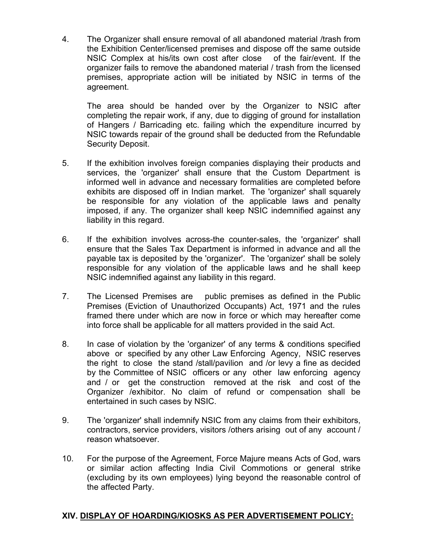4. The Organizer shall ensure removal of all abandoned material /trash from the Exhibition Center/licensed premises and dispose off the same outside NSIC Complex at his/its own cost after close of the fair/event. If the organizer fails to remove the abandoned material / trash from the licensed premises, appropriate action will be initiated by NSIC in terms of the agreement.

The area should be handed over by the Organizer to NSIC after completing the repair work, if any, due to digging of ground for installation of Hangers / Barricading etc. failing which the expenditure incurred by NSIC towards repair of the ground shall be deducted from the Refundable Security Deposit.

- 5. If the exhibition involves foreign companies displaying their products and services, the 'organizer' shall ensure that the Custom Department is informed well in advance and necessary formalities are completed before exhibits are disposed off in Indian market. The 'organizer' shall squarely be responsible for any violation of the applicable laws and penalty imposed, if any. The organizer shall keep NSIC indemnified against any liability in this regard.
- 6. If the exhibition involves across-the counter-sales, the 'organizer' shall ensure that the Sales Tax Department is informed in advance and all the payable tax is deposited by the 'organizer'. The 'organizer' shall be solely responsible for any violation of the applicable laws and he shall keep NSIC indemnified against any liability in this regard.
- 7. The Licensed Premises are public premises as defined in the Public Premises (Eviction of Unauthorized Occupants) Act, 1971 and the rules framed there under which are now in force or which may hereafter come into force shall be applicable for all matters provided in the said Act.
- 8. In case of violation by the 'organizer' of any terms & conditions specified above or specified by any other Law Enforcing Agency, NSIC reserves the right to close the stand /stall/pavilion and /or levy a fine as decided by the Committee of NSIC officers or any other law enforcing agency and / or get the construction removed at the risk and cost of the Organizer /exhibitor. No claim of refund or compensation shall be entertained in such cases by NSIC.
- 9. The 'organizer' shall indemnify NSIC from any claims from their exhibitors, contractors, service providers, visitors /others arising out of any account / reason whatsoever.
- 10. For the purpose of the Agreement, Force Majure means Acts of God, wars or similar action affecting India Civil Commotions or general strike (excluding by its own employees) lying beyond the reasonable control of the affected Party.

# **XIV. DISPLAY OF HOARDING/KIOSKS AS PER ADVERTISEMENT POLICY:**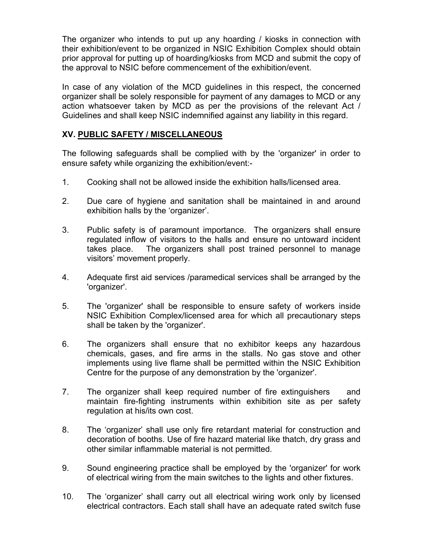The organizer who intends to put up any hoarding / kiosks in connection with their exhibition/event to be organized in NSIC Exhibition Complex should obtain prior approval for putting up of hoarding/kiosks from MCD and submit the copy of the approval to NSIC before commencement of the exhibition/event.

In case of any violation of the MCD guidelines in this respect, the concerned organizer shall be solely responsible for payment of any damages to MCD or any action whatsoever taken by MCD as per the provisions of the relevant Act / Guidelines and shall keep NSIC indemnified against any liability in this regard.

#### **XV. PUBLIC SAFETY / MISCELLANEOUS**

The following safeguards shall be complied with by the 'organizer' in order to ensure safety while organizing the exhibition/event:-

- 1. Cooking shall not be allowed inside the exhibition halls/licensed area.
- 2. Due care of hygiene and sanitation shall be maintained in and around exhibition halls by the 'organizer'.
- 3. Public safety is of paramount importance. The organizers shall ensure regulated inflow of visitors to the halls and ensure no untoward incident takes place. The organizers shall post trained personnel to manage visitors' movement properly.
- 4. Adequate first aid services /paramedical services shall be arranged by the 'organizer'.
- 5. The 'organizer' shall be responsible to ensure safety of workers inside NSIC Exhibition Complex/licensed area for which all precautionary steps shall be taken by the 'organizer'.
- 6. The organizers shall ensure that no exhibitor keeps any hazardous chemicals, gases, and fire arms in the stalls. No gas stove and other implements using live flame shall be permitted within the NSIC Exhibition Centre for the purpose of any demonstration by the 'organizer'.
- 7. The organizer shall keep required number of fire extinguishers and maintain fire-fighting instruments within exhibition site as per safety regulation at his/its own cost.
- 8. The 'organizer' shall use only fire retardant material for construction and decoration of booths. Use of fire hazard material like thatch, dry grass and other similar inflammable material is not permitted.
- 9. Sound engineering practice shall be employed by the 'organizer' for work of electrical wiring from the main switches to the lights and other fixtures.
- 10. The 'organizer' shall carry out all electrical wiring work only by licensed electrical contractors. Each stall shall have an adequate rated switch fuse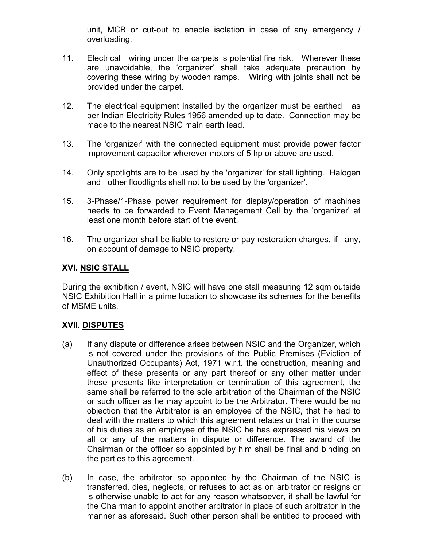unit, MCB or cut-out to enable isolation in case of any emergency / overloading.

- 11. Electrical wiring under the carpets is potential fire risk. Wherever these are unavoidable, the 'organizer' shall take adequate precaution by covering these wiring by wooden ramps. Wiring with joints shall not be provided under the carpet.
- 12. The electrical equipment installed by the organizer must be earthed as per Indian Electricity Rules 1956 amended up to date. Connection may be made to the nearest NSIC main earth lead.
- 13. The 'organizer' with the connected equipment must provide power factor improvement capacitor wherever motors of 5 hp or above are used.
- 14. Only spotlights are to be used by the 'organizer' for stall lighting. Halogen and other floodlights shall not to be used by the 'organizer'.
- 15. 3-Phase/1-Phase power requirement for display/operation of machines needs to be forwarded to Event Management Cell by the 'organizer' at least one month before start of the event.
- 16. The organizer shall be liable to restore or pay restoration charges, if any, on account of damage to NSIC property.

# **XVI. NSIC STALL**

During the exhibition / event, NSIC will have one stall measuring 12 sqm outside NSIC Exhibition Hall in a prime location to showcase its schemes for the benefits of MSME units.

# **XVII. DISPUTES**

- (a) If any dispute or difference arises between NSIC and the Organizer, which is not covered under the provisions of the Public Premises (Eviction of Unauthorized Occupants) Act, 1971 w.r.t. the construction, meaning and effect of these presents or any part thereof or any other matter under these presents like interpretation or termination of this agreement, the same shall be referred to the sole arbitration of the Chairman of the NSIC or such officer as he may appoint to be the Arbitrator. There would be no objection that the Arbitrator is an employee of the NSIC, that he had to deal with the matters to which this agreement relates or that in the course of his duties as an employee of the NSIC he has expressed his views on all or any of the matters in dispute or difference. The award of the Chairman or the officer so appointed by him shall be final and binding on the parties to this agreement.
- (b) In case, the arbitrator so appointed by the Chairman of the NSIC is transferred, dies, neglects, or refuses to act as on arbitrator or resigns or is otherwise unable to act for any reason whatsoever, it shall be lawful for the Chairman to appoint another arbitrator in place of such arbitrator in the manner as aforesaid. Such other person shall be entitled to proceed with